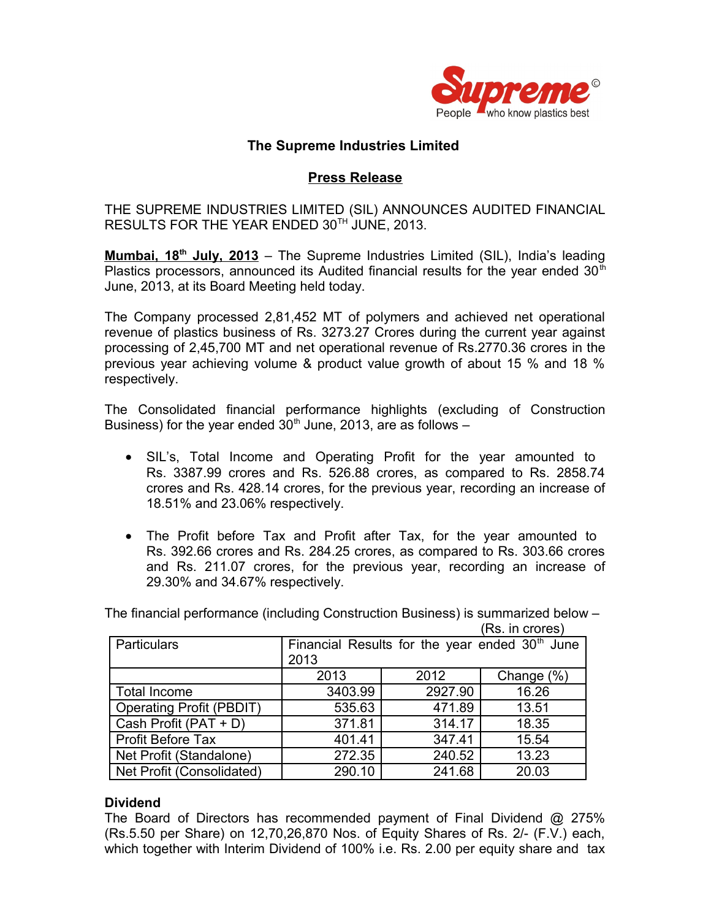

# **The Supreme Industries Limited**

# **Press Release**

THE SUPREME INDUSTRIES LIMITED (SIL) ANNOUNCES AUDITED FINANCIAL RESULTS FOR THE YEAR ENDED 30TH JUNE, 2013.

 **Mumbai, 18th July, 2013** – The Supreme Industries Limited (SIL), India's leading Plastics processors, announced its Audited financial results for the year ended  $30<sup>th</sup>$ June, 2013, at its Board Meeting held today.

The Company processed 2,81,452 MT of polymers and achieved net operational revenue of plastics business of Rs. 3273.27 Crores during the current year against processing of 2,45,700 MT and net operational revenue of Rs.2770.36 crores in the previous year achieving volume & product value growth of about 15 % and 18 % respectively.

The Consolidated financial performance highlights (excluding of Construction Business) for the year ended  $30<sup>th</sup>$  June, 2013, are as follows –

- SIL's, Total Income and Operating Profit for the year amounted to Rs. 3387.99 crores and Rs. 526.88 crores, as compared to Rs. 2858.74 crores and Rs. 428.14 crores, for the previous year, recording an increase of 18.51% and 23.06% respectively.
- The Profit before Tax and Profit after Tax, for the year amounted to Rs. 392.66 crores and Rs. 284.25 crores, as compared to Rs. 303.66 crores and Rs. 211.07 crores, for the previous year, recording an increase of 29.30% and 34.67% respectively.

The financial performance (including Construction Business) is summarized below – (Rs. in crores)

| Particulars                     | Financial Results for the year ended $30th$ June<br>2013 |         |            |
|---------------------------------|----------------------------------------------------------|---------|------------|
|                                 | 2013                                                     | 2012    | Change (%) |
| <b>Total Income</b>             | 3403.99                                                  | 2927.90 | 16.26      |
| <b>Operating Profit (PBDIT)</b> | 535.63                                                   | 471.89  | 13.51      |
| Cash Profit (PAT + D)           | 371.81                                                   | 314.17  | 18.35      |
| <b>Profit Before Tax</b>        | 401.41                                                   | 347.41  | 15.54      |
| Net Profit (Standalone)         | 272.35                                                   | 240.52  | 13.23      |
| Net Profit (Consolidated)       | 290.10                                                   | 241.68  | 20.03      |

## **Dividend**

The Board of Directors has recommended payment of Final Dividend @ 275% (Rs.5.50 per Share) on 12,70,26,870 Nos. of Equity Shares of Rs. 2/- (F.V.) each, which together with Interim Dividend of 100% i.e. Rs. 2.00 per equity share and tax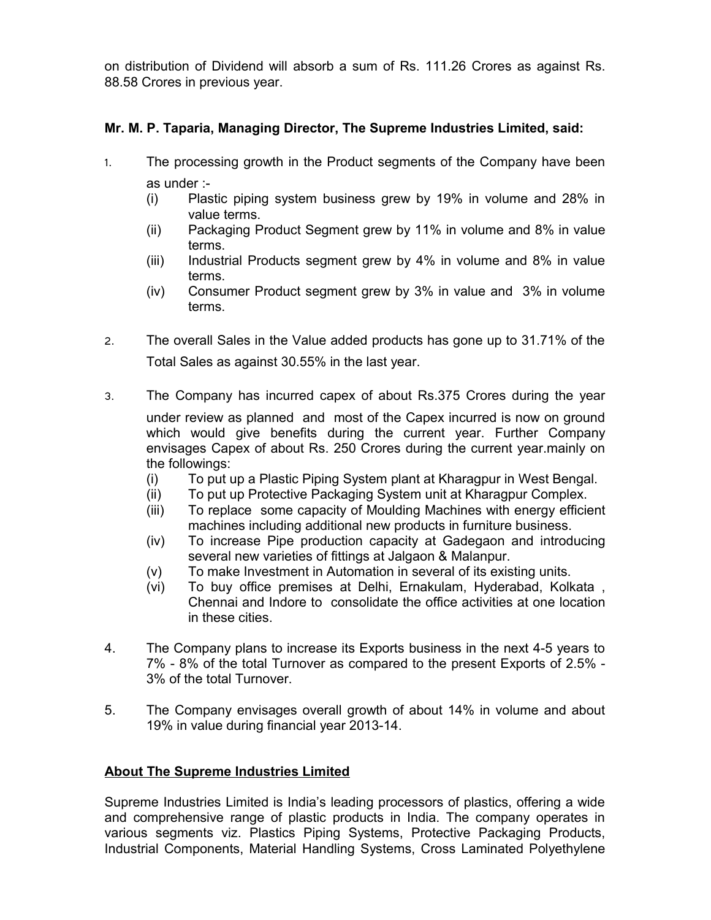on distribution of Dividend will absorb a sum of Rs. 111.26 Crores as against Rs. 88.58 Crores in previous year.

# **Mr. M. P. Taparia, Managing Director, The Supreme Industries Limited, said:**

- 1. The processing growth in the Product segments of the Company have been as under :-
	- (i) Plastic piping system business grew by 19% in volume and 28% in value terms.
	- (ii) Packaging Product Segment grew by 11% in volume and 8% in value terms.
	- (iii) Industrial Products segment grew by 4% in volume and 8% in value terms.
	- (iv) Consumer Product segment grew by 3% in value and 3% in volume terms.
- 2. The overall Sales in the Value added products has gone up to 31.71% of the Total Sales as against 30.55% in the last year.
- 3. The Company has incurred capex of about Rs.375 Crores during the year under review as planned and most of the Capex incurred is now on ground which would give benefits during the current year. Further Company envisages Capex of about Rs. 250 Crores during the current year.mainly on the followings:
	- (i) To put up a Plastic Piping System plant at Kharagpur in West Bengal.
	- (ii) To put up Protective Packaging System unit at Kharagpur Complex.
	- (iii) To replace some capacity of Moulding Machines with energy efficient machines including additional new products in furniture business.
	- (iv) To increase Pipe production capacity at Gadegaon and introducing several new varieties of fittings at Jalgaon & Malanpur.
	- (v) To make Investment in Automation in several of its existing units.
	- (vi) To buy office premises at Delhi, Ernakulam, Hyderabad, Kolkata , Chennai and Indore to consolidate the office activities at one location in these cities.
- 4. The Company plans to increase its Exports business in the next 4-5 years to 7% - 8% of the total Turnover as compared to the present Exports of 2.5% - 3% of the total Turnover.
- 5. The Company envisages overall growth of about 14% in volume and about 19% in value during financial year 2013-14.

## **About The Supreme Industries Limited**

Supreme Industries Limited is India's leading processors of plastics, offering a wide and comprehensive range of plastic products in India. The company operates in various segments viz. Plastics Piping Systems, Protective Packaging Products, Industrial Components, Material Handling Systems, Cross Laminated Polyethylene